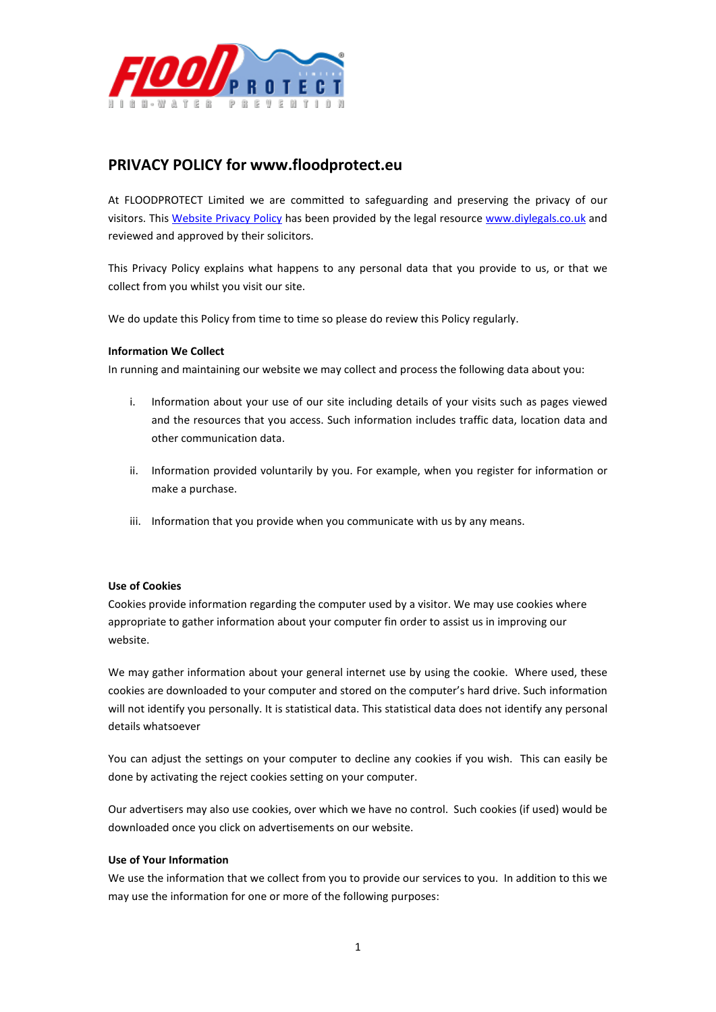

# **PRIVACY POLICY for www.floodprotect.eu**

At FLOODPROTECT Limited we are committed to safeguarding and preserving the privacy of our visitors. This [Website Privacy Policy](http://www.diylegals.co.uk/ecommerce/website-privacy-policy/) has been provided by the legal resource [www.diylegals.co.uk](http://www.diylegals.co.uk/) and reviewed and approved by their solicitors.

This Privacy Policy explains what happens to any personal data that you provide to us, or that we collect from you whilst you visit our site.

We do update this Policy from time to time so please do review this Policy regularly.

## **Information We Collect**

In running and maintaining our website we may collect and process the following data about you:

- i. Information about your use of our site including details of your visits such as pages viewed and the resources that you access. Such information includes traffic data, location data and other communication data.
- ii. Information provided voluntarily by you. For example, when you register for information or make a purchase.
- iii. Information that you provide when you communicate with us by any means.

#### **Use of Cookies**

Cookies provide information regarding the computer used by a visitor. We may use cookies where appropriate to gather information about your computer fin order to assist us in improving our website.

We may gather information about your general internet use by using the cookie. Where used, these cookies are downloaded to your computer and stored on the computer's hard drive. Such information will not identify you personally. It is statistical data. This statistical data does not identify any personal details whatsoever

You can adjust the settings on your computer to decline any cookies if you wish. This can easily be done by activating the reject cookies setting on your computer.

Our advertisers may also use cookies, over which we have no control. Such cookies (if used) would be downloaded once you click on advertisements on our website.

## **Use of Your Information**

We use the information that we collect from you to provide our services to you. In addition to this we may use the information for one or more of the following purposes: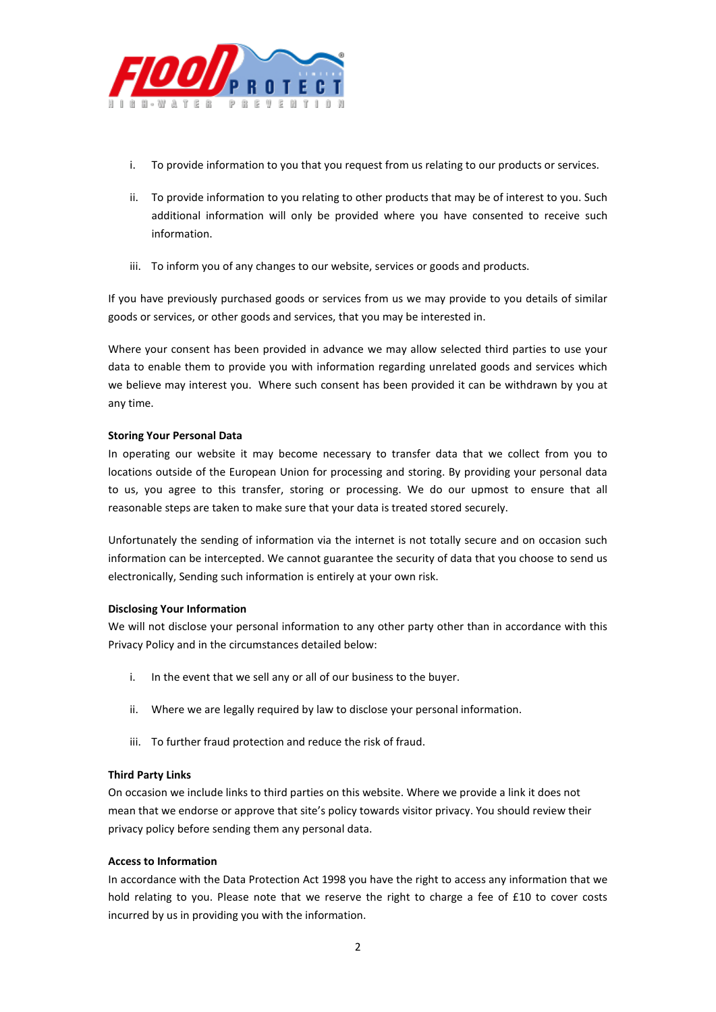

- i. To provide information to you that you request from us relating to our products or services.
- ii. To provide information to you relating to other products that may be of interest to you. Such additional information will only be provided where you have consented to receive such information.
- iii. To inform you of any changes to our website, services or goods and products.

If you have previously purchased goods or services from us we may provide to you details of similar goods or services, or other goods and services, that you may be interested in.

Where your consent has been provided in advance we may allow selected third parties to use your data to enable them to provide you with information regarding unrelated goods and services which we believe may interest you. Where such consent has been provided it can be withdrawn by you at any time.

## **Storing Your Personal Data**

In operating our website it may become necessary to transfer data that we collect from you to locations outside of the European Union for processing and storing. By providing your personal data to us, you agree to this transfer, storing or processing. We do our upmost to ensure that all reasonable steps are taken to make sure that your data is treated stored securely.

Unfortunately the sending of information via the internet is not totally secure and on occasion such information can be intercepted. We cannot guarantee the security of data that you choose to send us electronically, Sending such information is entirely at your own risk.

## **Disclosing Your Information**

We will not disclose your personal information to any other party other than in accordance with this Privacy Policy and in the circumstances detailed below:

- i. In the event that we sell any or all of our business to the buyer.
- ii. Where we are legally required by law to disclose your personal information.
- iii. To further fraud protection and reduce the risk of fraud.

## **Third Party Links**

On occasion we include links to third parties on this website. Where we provide a link it does not mean that we endorse or approve that site's policy towards visitor privacy. You should review their privacy policy before sending them any personal data.

## **Access to Information**

In accordance with the Data Protection Act 1998 you have the right to access any information that we hold relating to you. Please note that we reserve the right to charge a fee of £10 to cover costs incurred by us in providing you with the information.